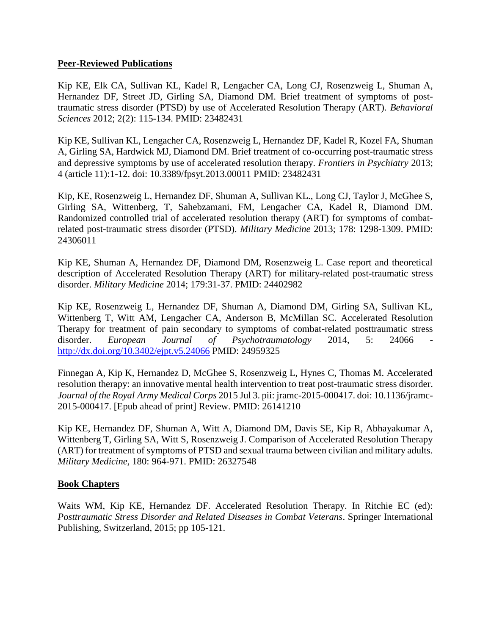## **Peer-Reviewed Publications**

Kip KE, Elk CA, Sullivan KL, Kadel R, Lengacher CA, Long CJ, Rosenzweig L, Shuman A, Hernandez DF, Street JD, Girling SA, Diamond DM. Brief treatment of symptoms of posttraumatic stress disorder (PTSD) by use of Accelerated Resolution Therapy (ART). *Behavioral Sciences* 2012; 2(2): 115-134. PMID: 23482431

Kip KE, Sullivan KL, Lengacher CA, Rosenzweig L, Hernandez DF, Kadel R, Kozel FA, Shuman A, Girling SA, Hardwick MJ, Diamond DM. Brief treatment of co-occurring post-traumatic stress and depressive symptoms by use of accelerated resolution therapy*. Frontiers in Psychiatry* 2013; 4 (article 11):1-12. doi: 10.3389/fpsyt.2013.00011 PMID: 23482431

Kip, KE, Rosenzweig L, Hernandez DF, Shuman A, Sullivan KL., Long CJ, Taylor J, McGhee S, Girling SA, Wittenberg, T, Sahebzamani, FM, Lengacher CA, Kadel R, Diamond DM. Randomized controlled trial of accelerated resolution therapy (ART) for symptoms of combatrelated post-traumatic stress disorder (PTSD). *Military Medicine* 2013; 178: 1298-1309. PMID: 24306011

Kip KE, Shuman A, Hernandez DF, Diamond DM, Rosenzweig L. Case report and theoretical description of Accelerated Resolution Therapy (ART) for military-related post-traumatic stress disorder. *Military Medicine* 2014; 179:31-37. PMID: 24402982

Kip KE, Rosenzweig L, Hernandez DF, Shuman A, Diamond DM, Girling SA, Sullivan KL, Wittenberg T, Witt AM, Lengacher CA, Anderson B, McMillan SC. Accelerated Resolution Therapy for treatment of pain secondary to symptoms of combat-related posttraumatic stress disorder. *European Journal of Psychotraumatology* 2014, 5: 24066 <http://dx.doi.org/10.3402/ejpt.v5.24066> PMID: 24959325

Finnegan A, Kip K, Hernandez D, McGhee S, Rosenzweig L, Hynes C, Thomas M. Accelerated resolution therapy: an innovative mental health intervention to treat post-traumatic stress disorder. *Journal of the Royal Army Medical Corps* 2015 Jul 3. pii: jramc-2015-000417. doi: 10.1136/jramc-2015-000417. [Epub ahead of print] Review. PMID: 26141210

Kip KE, Hernandez DF, Shuman A, Witt A, Diamond DM, Davis SE, Kip R, Abhayakumar A, Wittenberg T, Girling SA, Witt S, Rosenzweig J. Comparison of Accelerated Resolution Therapy (ART) for treatment of symptoms of PTSD and sexual trauma between civilian and military adults. *Military Medicine,* 180: 964-971. PMID: 26327548

## **Book Chapters**

Waits WM, Kip KE, Hernandez DF. Accelerated Resolution Therapy. In Ritchie EC (ed): *Posttraumatic Stress Disorder and Related Diseases in Combat Veterans*. Springer International Publishing, Switzerland, 2015; pp 105-121.